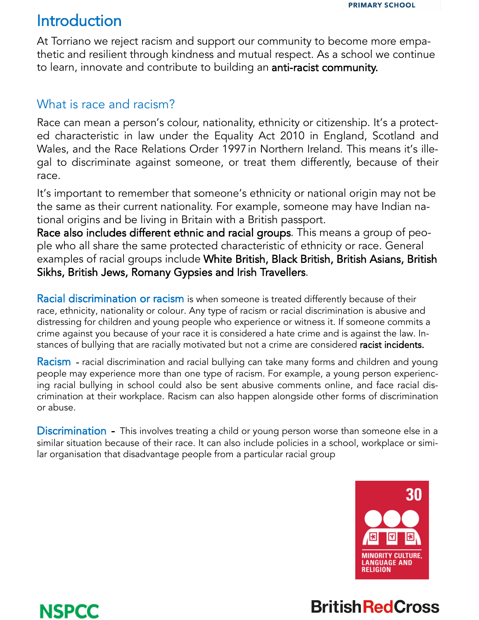

## Introduction

NSPCC

At Torriano we reject racism and support our community to become more empathetic and resilient through kindness and mutual respect. As a school we continue to learn, innovate and contribute to building an anti-racist community.

#### What is race and racism?

Race can mean a person's colour, nationality, ethnicity or citizenship. It's a protected characteristic in law under the Equality Act 201[0 i](https://www.nspcc.org.uk/keeping-children-safe/support-for-parents/children-race-racism-racial-bullying/#pageref47517)n England, Scotland and Wales, and the Race Relations Order 1997in Northern Ireland. This means it's illegal to discriminate against someone, or treat them differently, because of their race.

It's important to remember that someone's ethnicity or national origin may not be the same as their current nationality. For example, someone may have Indian national origins and be living in Britain with a British passport.

Race also includes different ethnic and racial groups. This means a group of people who all share the same protected characteristic of ethnicity or race. General examples of racial groups include White British, Black British, British Asians, British Sikhs, British Jews, Romany Gypsies and Irish Travellers.

Racial discrimination or racism is when someone is treated differently because of their race, ethnicity, nationality or colour. Any type of racism or racial discrimination is abusive and distressing for children and young people who experience or witness it. If someone commits a crime against you because of your race it is considered a hate crime and is against the law. Instances of bullying that are racially motivated but not a crime are considered racist incidents.

Racism - racial discrimination and racial bullying can take many forms and children and young people may experience more than one type of racism. For example, a young person experiencing racial bullying in school could also be sent abusive comments online, and face racial discrimination at their workplace. Racism can also happen alongside other forms of discrimination or abuse.

**Discrimination** - This involves treating a child or young person worse than someone else in a similar situation because of their race. It can also include policies in a school, workplace or similar organisation that disadvantage people from a particular racial group



# **British RedCross**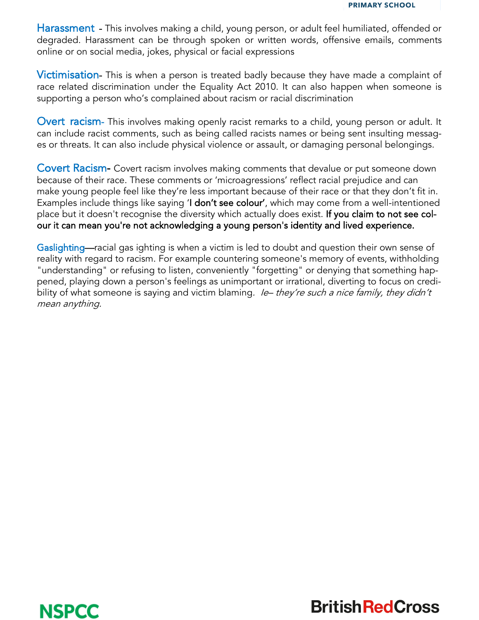Harassment - This involves making a child, young person, or adult feel humiliated, offended or degraded. Harassment can be through spoken or written words, offensive emails, comments online or on social media, jokes, physical or facial expressions

**Victimisation-** This is when a person is treated badly because they have made a complaint of race related discrimination under the Equality Act 2010. It can also happen when someone is supporting a person who's complained about racism or racial discrimination

**Overt racism-** This involves making openly racist remarks to a child, young person or adult. It can include racist comments, such as being called racists names or being sent insulting messages or threats. It can also include physical violence or assault, or damaging personal belongings.

Covert Racism- Covert racism involves making comments that devalue or put someone down because of their race. These comments or 'microagressions' reflect racial prejudice and can make young people feel like they're less important because of their race or that they don't fit in. Examples include things like saying 'I don't see colour', which may come from a well-intentioned place but it doesn't recognise the diversity which actually does exist. If you claim to not see colour it can mean you're not acknowledging a young person's identity and lived experience.

Gaslighting—racial gas ighting is when a victim is led to doubt and question their own sense of reality with regard to racism. For example countering someone's memory of events, withholding "understanding" or refusing to listen, conveniently "forgetting" or denying that something happened, playing down a person's feelings as unimportant or irrational, diverting to focus on credibility of what someone is saying and victim blaming. Ie– they're such a nice family, they didn't mean anything.



**British Red Cross**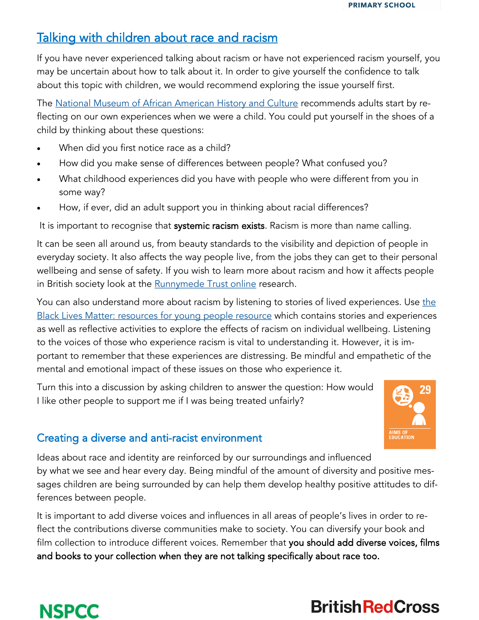

### Talking with children about race and racism

If you have never experienced talking about racism or have not experienced racism yourself, you may be uncertain about how to talk about it. In order to give yourself the confidence to talk about this topic with children, we would recommend exploring the issue yourself first.

The [National Museum of African American History and Culture](https://nmaahc.si.edu/learn/talking-about-race) recommends adults start by reflecting on our own experiences when we were a child. You could put yourself in the shoes of a child by thinking about these questions:

- When did you first notice race as a child?
- How did you make sense of differences between people? What confused you?
- What childhood experiences did you have with people who were different from you in some way?
- How, if ever, did an adult support you in thinking about racial differences?

It is important to recognise that systemic racism exists. Racism is more than name calling.

It can be seen all around us, from beauty standards to the visibility and depiction of people in everyday society. It also affects the way people live, from the jobs they can get to their personal wellbeing and sense of safety. If you wish to learn more about racism and how it affects people in British society look at the [Runnymede Trust online](https://www.runnymedetrust.org/projects-and-publications/employment-3/we-are-ghosts-race-class-and-institutional-prejudice.html) research.

You can also understand more about racism by listening to stories of lived experiences. Use the [Black Lives Matter: resources for young people resource](https://www.redcross.org.uk/get-involved/teaching-resources/black-lives-matter-resources-for-young-people) which contains stories and experiences as well as reflective activities to explore the effects of racism on individual wellbeing. Listening to the voices of those who experience racism is vital to understanding it. However, it is important to remember that these experiences are distressing. Be mindful and empathetic of the mental and emotional impact of these issues on those who experience it.

Turn this into a discussion by asking children to answer the question: How would I like other people to support me if I was being treated unfairly?



#### Creating a diverse and anti-racist environment

Ideas about race and identity are reinforced by our surroundings and influenced by what we see and hear every day. Being mindful of the amount of diversity and positive messages children are being surrounded by can help them develop healthy positive attitudes to differences between people.

It is important to add diverse voices and influences in all areas of people's lives in order to reflect the contributions diverse communities make to society. You can diversify your book and film collection to introduce different voices. Remember that you should add diverse voices, films and books to your collection when they are not talking specifically about race too.



# **British Red Cross**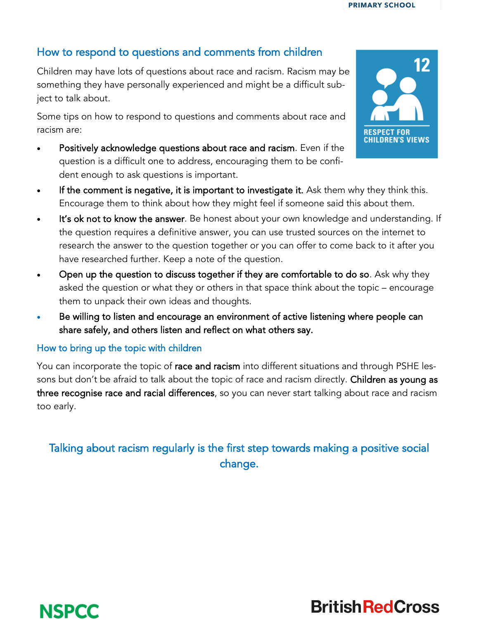**PRIMARY SCHOOL** 

#### How to respond to questions and comments from children

Children may have lots of questions about race and racism. Racism may be something they have personally experienced and might be a difficult subject to talk about.

Some tips on how to respond to questions and comments about race and racism are:

- Positively acknowledge questions about race and racism. Even if the question is a difficult one to address, encouraging them to be confident enough to ask questions is important.
- If the comment is negative, it is important to investigate it. Ask them why they think this. Encourage them to think about how they might feel if someone said this about them.
- It's ok not to know the answer. Be honest about your own knowledge and understanding. If the question requires a definitive answer, you can use trusted sources on the internet to research the answer to the question together or you can offer to come back to it after you have researched further. Keep a note of the question.
- Open up the question to discuss together if they are comfortable to do so. Ask why they asked the question or what they or others in that space think about the topic – encourage them to unpack their own ideas and thoughts.
- Be willing to listen and encourage an environment of active listening where people can share safely, and others listen and reflect on what others say.

#### How to bring up the topic with children

You can incorporate the topic of race and racism into different situations and through PSHE lessons but don't be afraid to talk about the topic of race and racism directly. Children as young as three recognise race and racial differences, so you can never start talking about race and racism too early.

#### Talking about racism regularly is the first step towards making a positive social change.





**British Red Cross**